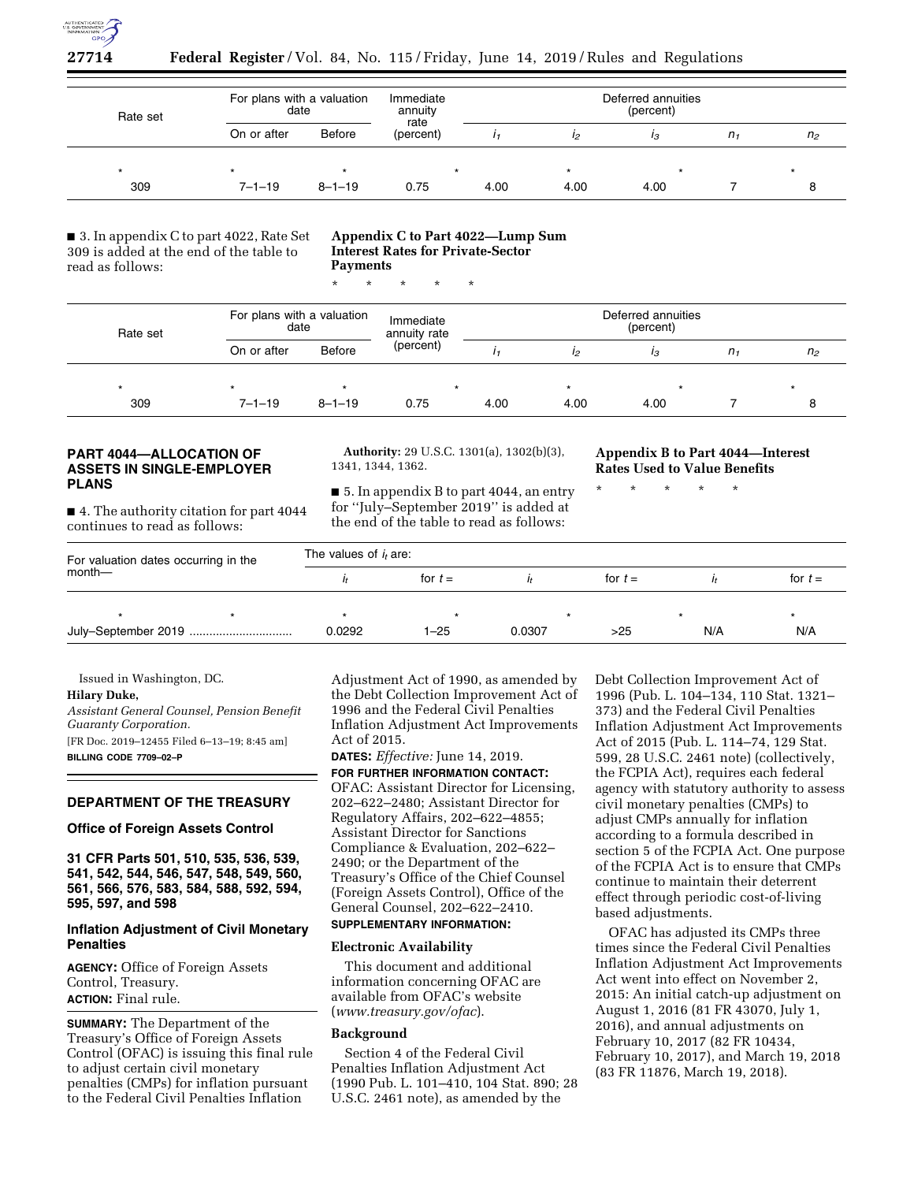

# **27714 Federal Register** / Vol. 84, No. 115 / Friday, June 14, 2019 / Rules and Regulations

| Rate set | For plans with a valuation<br>date |               | Immediate<br>annuity<br>rate | Deferred annuities<br>(percent) |      |      |         |                |
|----------|------------------------------------|---------------|------------------------------|---------------------------------|------|------|---------|----------------|
|          | On or after                        | <b>Before</b> | (percent)                    |                                 |      | ıз   | $n_{1}$ | n <sub>2</sub> |
|          |                                    |               |                              |                                 |      |      |         |                |
| 309      | $7 - 1 - 19$                       | $8 - 1 - 19$  | 0.75                         | 4.00                            | 4.00 | 4.00 |         |                |

■ 3. In appendix C to part 4022, Rate Set 309 is added at the end of the table to read as follows:

# **Appendix C to Part 4022—Lump Sum Interest Rates for Private-Sector Payments**

\* \* \* \* \*

| Rate set | For plans with a valuation<br>date |               | Immediate<br>annuity rate | Deferred annuities<br>(percent) |      |      |       |                |
|----------|------------------------------------|---------------|---------------------------|---------------------------------|------|------|-------|----------------|
|          | On or after                        | <b>Before</b> | (percent)                 |                                 | 12   | 13   | $n_1$ | n <sub>2</sub> |
|          |                                    |               |                           |                                 |      |      |       |                |
| 309      | $7 - 1 - 19$                       | $8 - 1 - 19$  | 0.75                      | 4.00                            | 4.00 | 4.00 |       |                |

# **PART 4044—ALLOCATION OF ASSETS IN SINGLE-EMPLOYER PLANS**

■ 4. The authority citation for part 4044 continues to read as follows:

**Authority:** 29 U.S.C. 1301(a), 1302(b)(3), 1341, 1344, 1362.

■ 5. In appendix B to part 4044, an entry for ''July–September 2019'' is added at the end of the table to read as follows:

**Appendix B to Part 4044—Interest Rates Used to Value Benefits** 

\* \* \* \* \*

| For valuation dates occurring in the<br>$month$ — |  | The values of $i_t$ are: |           |         |           |     |           |  |  |
|---------------------------------------------------|--|--------------------------|-----------|---------|-----------|-----|-----------|--|--|
|                                                   |  |                          | for $t =$ |         | for $t =$ |     | for $t =$ |  |  |
|                                                   |  |                          |           | $\star$ |           |     |           |  |  |
|                                                   |  | 0.0292                   | $1 - 25$  | 0.0307  | >25       | N/A | N/A       |  |  |

Issued in Washington, DC.

**Hilary Duke,** 

*Assistant General Counsel, Pension Benefit Guaranty Corporation.*  [FR Doc. 2019–12455 Filed 6–13–19; 8:45 am] **BILLING CODE 7709–02–P** 

# **DEPARTMENT OF THE TREASURY**

# **Office of Foreign Assets Control**

**31 CFR Parts 501, 510, 535, 536, 539, 541, 542, 544, 546, 547, 548, 549, 560, 561, 566, 576, 583, 584, 588, 592, 594, 595, 597, and 598** 

# **Inflation Adjustment of Civil Monetary Penalties**

**AGENCY:** Office of Foreign Assets Control, Treasury. **ACTION:** Final rule.

**SUMMARY:** The Department of the Treasury's Office of Foreign Assets Control (OFAC) is issuing this final rule to adjust certain civil monetary penalties (CMPs) for inflation pursuant to the Federal Civil Penalties Inflation

Adjustment Act of 1990, as amended by the Debt Collection Improvement Act of 1996 and the Federal Civil Penalties Inflation Adjustment Act Improvements Act of 2015.

**DATES:** *Effective:* June 14, 2019. **FOR FURTHER INFORMATION CONTACT:**  OFAC: Assistant Director for Licensing, 202–622–2480; Assistant Director for Regulatory Affairs, 202–622–4855; Assistant Director for Sanctions Compliance & Evaluation, 202–622– 2490; or the Department of the Treasury's Office of the Chief Counsel (Foreign Assets Control), Office of the General Counsel, 202–622–2410.

# **SUPPLEMENTARY INFORMATION:**

### **Electronic Availability**

This document and additional information concerning OFAC are available from OFAC's website (*[www.treasury.gov/ofac](http://www.treasury.gov/ofac)*).

### **Background**

Section 4 of the Federal Civil Penalties Inflation Adjustment Act (1990 Pub. L. 101–410, 104 Stat. 890; 28 U.S.C. 2461 note), as amended by the

Debt Collection Improvement Act of 1996 (Pub. L. 104–134, 110 Stat. 1321– 373) and the Federal Civil Penalties Inflation Adjustment Act Improvements Act of 2015 (Pub. L. 114–74, 129 Stat. 599, 28 U.S.C. 2461 note) (collectively, the FCPIA Act), requires each federal agency with statutory authority to assess civil monetary penalties (CMPs) to adjust CMPs annually for inflation according to a formula described in section 5 of the FCPIA Act. One purpose of the FCPIA Act is to ensure that CMPs continue to maintain their deterrent effect through periodic cost-of-living based adjustments.

OFAC has adjusted its CMPs three times since the Federal Civil Penalties Inflation Adjustment Act Improvements Act went into effect on November 2, 2015: An initial catch-up adjustment on August 1, 2016 (81 FR 43070, July 1, 2016), and annual adjustments on February 10, 2017 (82 FR 10434, February 10, 2017), and March 19, 2018 (83 FR 11876, March 19, 2018).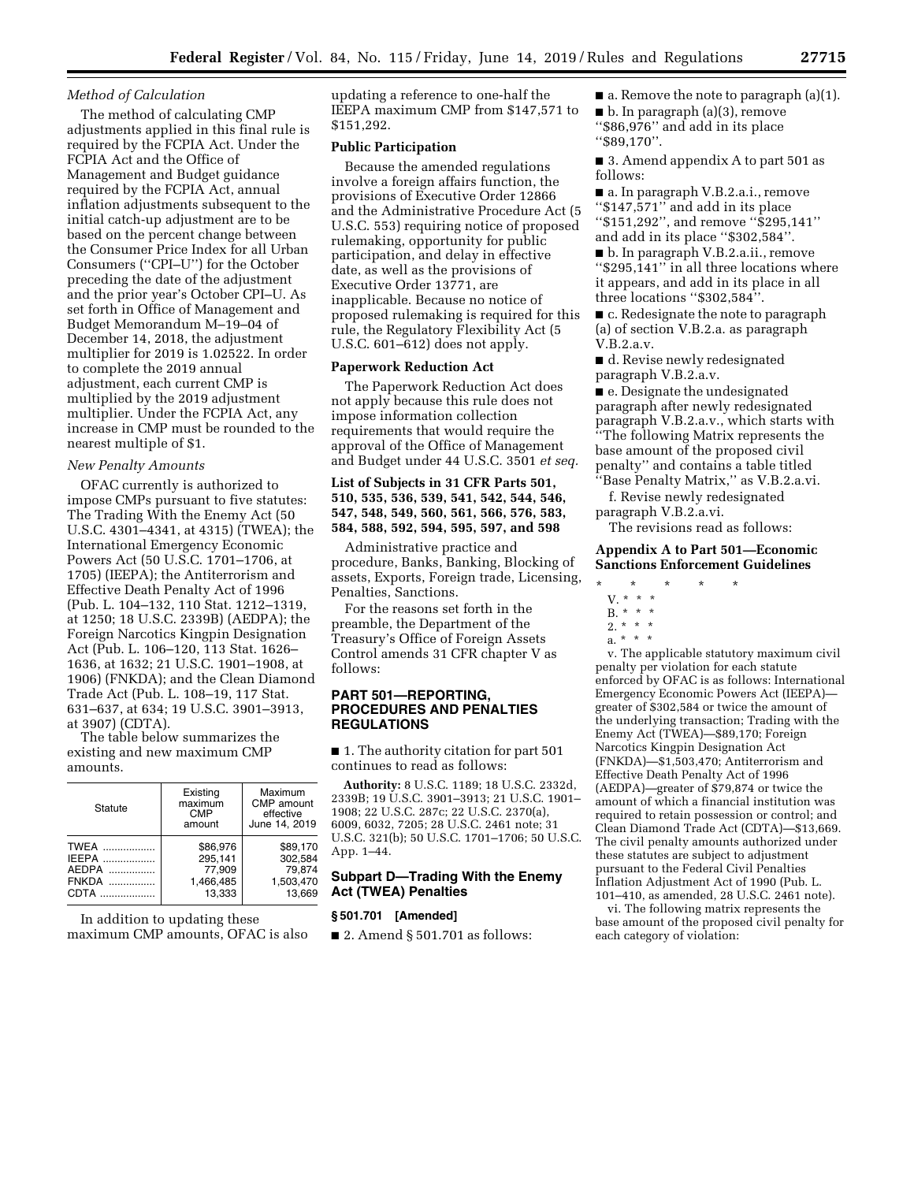#### *Method of Calculation*

The method of calculating CMP adjustments applied in this final rule is required by the FCPIA Act. Under the FCPIA Act and the Office of Management and Budget guidance required by the FCPIA Act, annual inflation adjustments subsequent to the initial catch-up adjustment are to be based on the percent change between the Consumer Price Index for all Urban Consumers (''CPI–U'') for the October preceding the date of the adjustment and the prior year's October CPI–U. As set forth in Office of Management and Budget Memorandum M–19–04 of December 14, 2018, the adjustment multiplier for 2019 is 1.02522. In order to complete the 2019 annual adjustment, each current CMP is multiplied by the 2019 adjustment multiplier. Under the FCPIA Act, any increase in CMP must be rounded to the nearest multiple of \$1.

### *New Penalty Amounts*

OFAC currently is authorized to impose CMPs pursuant to five statutes: The Trading With the Enemy Act (50 U.S.C. 4301–4341, at 4315) (TWEA); the International Emergency Economic Powers Act (50 U.S.C. 1701–1706, at 1705) (IEEPA); the Antiterrorism and Effective Death Penalty Act of 1996 (Pub. L. 104–132, 110 Stat. 1212–1319, at 1250; 18 U.S.C. 2339B) (AEDPA); the Foreign Narcotics Kingpin Designation Act (Pub. L. 106–120, 113 Stat. 1626– 1636, at 1632; 21 U.S.C. 1901–1908, at 1906) (FNKDA); and the Clean Diamond Trade Act (Pub. L. 108–19, 117 Stat. 631–637, at 634; 19 U.S.C. 3901–3913, at 3907) (CDTA).

The table below summarizes the existing and new maximum CMP amounts.

| Statute      | Existing<br>maximum<br><b>CMP</b><br>amount | Maximum<br>CMP amount<br>effective<br>June 14, 2019 |  |  |
|--------------|---------------------------------------------|-----------------------------------------------------|--|--|
| <b>TWEA</b>  | \$86.976                                    | \$89.170                                            |  |  |
| <b>IEEPA</b> | 295,141                                     | 302.584                                             |  |  |
| AEDPA        | 77.909                                      | 79.874                                              |  |  |
| <b>FNKDA</b> | 1,466,485                                   | 1,503,470                                           |  |  |
| CDTA         | 13.333                                      | 13.669                                              |  |  |

In addition to updating these maximum CMP amounts, OFAC is also updating a reference to one-half the IEEPA maximum CMP from \$147,571 to \$151,292.

# **Public Participation**

Because the amended regulations involve a foreign affairs function, the provisions of Executive Order 12866 and the Administrative Procedure Act (5 U.S.C. 553) requiring notice of proposed rulemaking, opportunity for public participation, and delay in effective date, as well as the provisions of Executive Order 13771, are inapplicable. Because no notice of proposed rulemaking is required for this rule, the Regulatory Flexibility Act (5 U.S.C. 601–612) does not apply.

# **Paperwork Reduction Act**

The Paperwork Reduction Act does not apply because this rule does not impose information collection requirements that would require the approval of the Office of Management and Budget under 44 U.S.C. 3501 *et seq.* 

**List of Subjects in 31 CFR Parts 501, 510, 535, 536, 539, 541, 542, 544, 546, 547, 548, 549, 560, 561, 566, 576, 583, 584, 588, 592, 594, 595, 597, and 598** 

Administrative practice and procedure, Banks, Banking, Blocking of assets, Exports, Foreign trade, Licensing, Penalties, Sanctions.

For the reasons set forth in the preamble, the Department of the Treasury's Office of Foreign Assets Control amends 31 CFR chapter V as follows:

# **PART 501—REPORTING, PROCEDURES AND PENALTIES REGULATIONS**

■ 1. The authority citation for part 501 continues to read as follows:

**Authority:** 8 U.S.C. 1189; 18 U.S.C. 2332d, 2339B; 19 U.S.C. 3901–3913; 21 U.S.C. 1901– 1908; 22 U.S.C. 287c; 22 U.S.C. 2370(a), 6009, 6032, 7205; 28 U.S.C. 2461 note; 31 U.S.C. 321(b); 50 U.S.C. 1701–1706; 50 U.S.C. App. 1–44.

### **Subpart D—Trading With the Enemy Act (TWEA) Penalties**

#### **§ 501.701 [Amended]**

 $\blacksquare$  2. Amend § 501.701 as follows:

 $\blacksquare$  a. Remove the note to paragraph (a)(1). ■ b. In paragraph (a)(3), remove ''\$86,976'' and add in its place ''\$89,170''.

■ 3. Amend appendix A to part 501 as follows:

■ a. In paragraph V.B.2.a.i., remove ''\$147,571'' and add in its place ''\$151,292'', and remove ''\$295,141'' and add in its place ''\$302,584''.

■ b. In paragraph V.B.2.a.ii., remove ''\$295,141'' in all three locations where it appears, and add in its place in all three locations ''\$302,584''.

■ c. Redesignate the note to paragraph (a) of section V.B.2.a. as paragraph V.B.2.a.v.

■ d. Revise newly redesignated paragraph V.B.2.a.v.

■ e. Designate the undesignated paragraph after newly redesignated paragraph V.B.2.a.v., which starts with ''The following Matrix represents the base amount of the proposed civil penalty'' and contains a table titled ''Base Penalty Matrix,'' as V.B.2.a.vi.

f. Revise newly redesignated paragraph V.B.2.a.vi.

The revisions read as follows:

### **Appendix A to Part 501—Economic Sanctions Enforcement Guidelines**

\* \* \* \* \*

 $2. * * * *$ 

v. The applicable statutory maximum civil penalty per violation for each statute enforced by OFAC is as follows: International Emergency Economic Powers Act (IEEPA) greater of \$302,584 or twice the amount of the underlying transaction; Trading with the Enemy Act (TWEA)—\$89,170; Foreign Narcotics Kingpin Designation Act (FNKDA)—\$1,503,470; Antiterrorism and Effective Death Penalty Act of 1996 (AEDPA)—greater of \$79,874 or twice the amount of which a financial institution was required to retain possession or control; and Clean Diamond Trade Act (CDTA)—\$13,669. The civil penalty amounts authorized under these statutes are subject to adjustment pursuant to the Federal Civil Penalties Inflation Adjustment Act of 1990 (Pub. L. 101–410, as amended, 28 U.S.C. 2461 note).

vi. The following matrix represents the base amount of the proposed civil penalty for each category of violation:

V. \* \* \*  $B. * * * *$ 

a. \* \* \*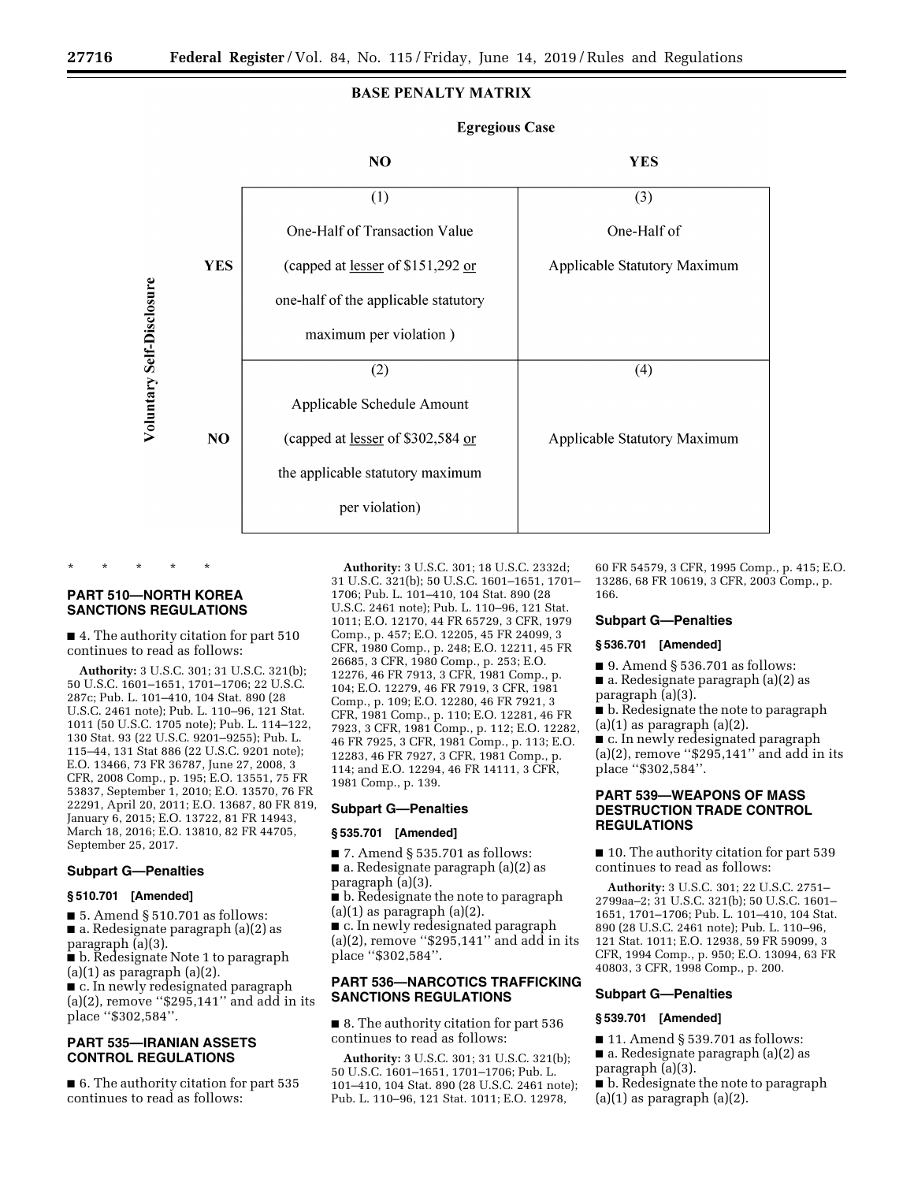# **BASE PENALTY MATRIX**



# **Egregious Case**

# **PART 510—NORTH KOREA SANCTIONS REGULATIONS**

\* \* \* \* \*

■ 4. The authority citation for part 510 continues to read as follows:

**Authority:** 3 U.S.C. 301; 31 U.S.C. 321(b); 50 U.S.C. 1601–1651, 1701–1706; 22 U.S.C. 287c; Pub. L. 101–410, 104 Stat. 890 (28 U.S.C. 2461 note); Pub. L. 110–96, 121 Stat. 1011 (50 U.S.C. 1705 note); Pub. L. 114–122, 130 Stat. 93 (22 U.S.C. 9201–9255); Pub. L. 115–44, 131 Stat 886 (22 U.S.C. 9201 note); E.O. 13466, 73 FR 36787, June 27, 2008, 3 CFR, 2008 Comp., p. 195; E.O. 13551, 75 FR 53837, September 1, 2010; E.O. 13570, 76 FR 22291, April 20, 2011; E.O. 13687, 80 FR 819, January 6, 2015; E.O. 13722, 81 FR 14943, March 18, 2016; E.O. 13810, 82 FR 44705, September 25, 2017.

# **Subpart G—Penalties**

#### **§ 510.701 [Amended]**

■ 5. Amend § 510.701 as follows: ■ a. Redesignate paragraph (a)(2) as paragraph (a)(3).

■ b. Redesignate Note 1 to paragraph  $(a)(1)$  as paragraph  $(a)(2)$ .

■ c. In newly redesignated paragraph

(a)(2), remove " $$295,141"$  and add in its place ''\$302,584''.

# **PART 535—IRANIAN ASSETS CONTROL REGULATIONS**

■ 6. The authority citation for part 535 continues to read as follows:

**Authority:** 3 U.S.C. 301; 18 U.S.C. 2332d; 31 U.S.C. 321(b); 50 U.S.C. 1601–1651, 1701– 1706; Pub. L. 101–410, 104 Stat. 890 (28 U.S.C. 2461 note); Pub. L. 110–96, 121 Stat. 1011; E.O. 12170, 44 FR 65729, 3 CFR, 1979 Comp., p. 457; E.O. 12205, 45 FR 24099, 3 CFR, 1980 Comp., p. 248; E.O. 12211, 45 FR 26685, 3 CFR, 1980 Comp., p. 253; E.O. 12276, 46 FR 7913, 3 CFR, 1981 Comp., p. 104; E.O. 12279, 46 FR 7919, 3 CFR, 1981 Comp., p. 109; E.O. 12280, 46 FR 7921, 3 CFR, 1981 Comp., p. 110; E.O. 12281, 46 FR 7923, 3 CFR, 1981 Comp., p. 112; E.O. 12282, 46 FR 7925, 3 CFR, 1981 Comp., p. 113; E.O. 12283, 46 FR 7927, 3 CFR, 1981 Comp., p. 114; and E.O. 12294, 46 FR 14111, 3 CFR, 1981 Comp., p. 139.

### **Subpart G—Penalties**

### **§ 535.701 [Amended]**

- 7. Amend § 535.701 as follows:
- a. Redesignate paragraph (a)(2) as paragraph (a)(3).
- b. Redesignate the note to paragraph  $(a)(1)$  as paragraph  $(a)(2)$ .

■ c. In newly redesignated paragraph  $(a)(2)$ , remove "\$295,141" and add in its place ''\$302,584''.

# **PART 536—NARCOTICS TRAFFICKING SANCTIONS REGULATIONS**

■ 8. The authority citation for part 536 continues to read as follows:

**Authority:** 3 U.S.C. 301; 31 U.S.C. 321(b); 50 U.S.C. 1601–1651, 1701–1706; Pub. L. 101–410, 104 Stat. 890 (28 U.S.C. 2461 note); Pub. L. 110–96, 121 Stat. 1011; E.O. 12978,

60 FR 54579, 3 CFR, 1995 Comp., p. 415; E.O. 13286, 68 FR 10619, 3 CFR, 2003 Comp., p. 166.

### **Subpart G—Penalties**

### **§ 536.701 [Amended]**

■ 9. Amend § 536.701 as follows:

- a. Redesignate paragraph (a)(2) as
- paragraph (a)(3).
- b. Redesignate the note to paragraph  $(a)(1)$  as paragraph  $(a)(2)$ .

■ c. In newly redesignated paragraph (a)(2), remove " $$295,141"$  and add in its place ''\$302,584''.

# **PART 539—WEAPONS OF MASS DESTRUCTION TRADE CONTROL REGULATIONS**

■ 10. The authority citation for part 539 continues to read as follows:

**Authority:** 3 U.S.C. 301; 22 U.S.C. 2751– 2799aa–2; 31 U.S.C. 321(b); 50 U.S.C. 1601– 1651, 1701–1706; Pub. L. 101–410, 104 Stat. 890 (28 U.S.C. 2461 note); Pub. L. 110–96, 121 Stat. 1011; E.O. 12938, 59 FR 59099, 3 CFR, 1994 Comp., p. 950; E.O. 13094, 63 FR 40803, 3 CFR, 1998 Comp., p. 200.

# **Subpart G—Penalties**

#### **§ 539.701 [Amended]**

■ 11. Amend § 539.701 as follows:

■ a. Redesignate paragraph (a)(2) as paragraph (a)(3).

■ b. Redesignate the note to paragraph

 $(a)(1)$  as paragraph  $(a)(2)$ .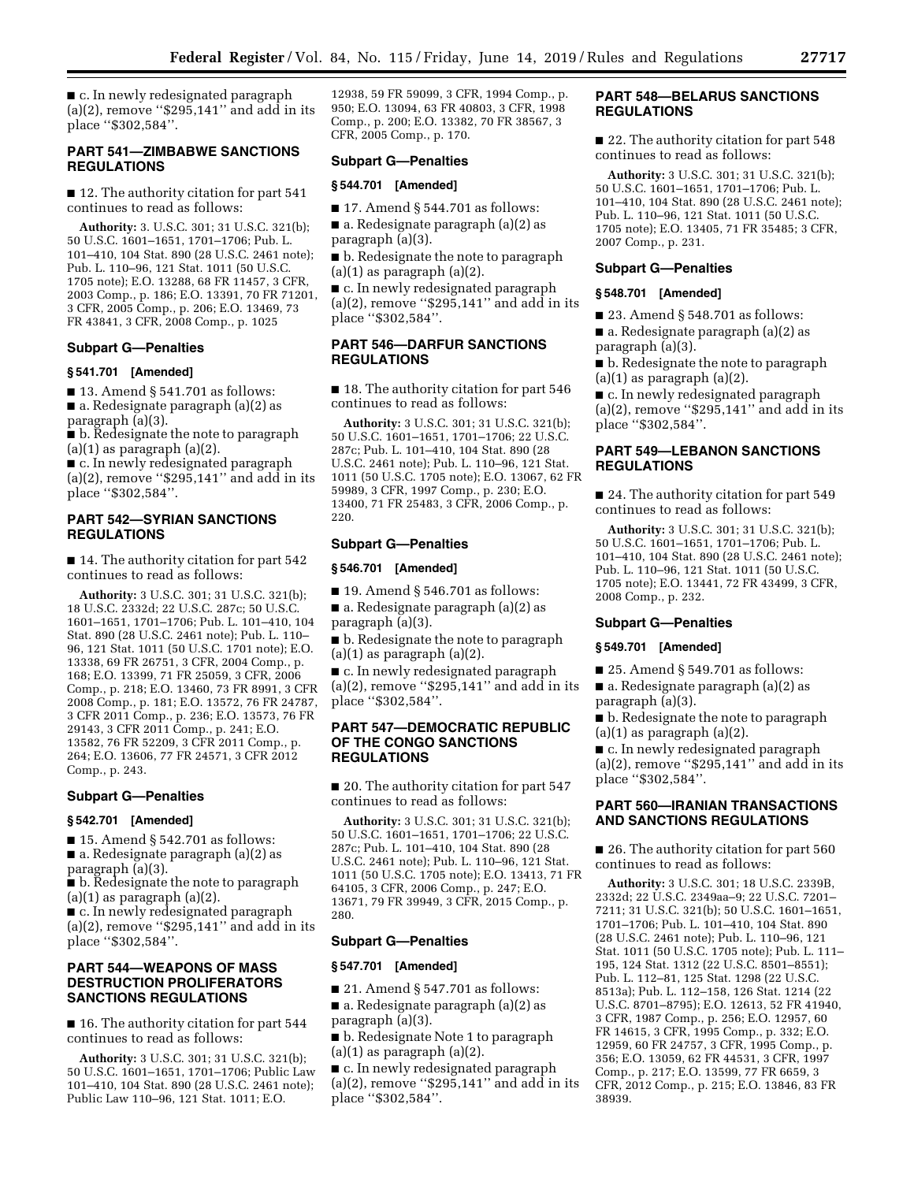■ c. In newly redesignated paragraph  $(a)(2)$ , remove "\$295,141" and add in its place ''\$302,584''.

## **PART 541—ZIMBABWE SANCTIONS REGULATIONS**

■ 12. The authority citation for part 541 continues to read as follows:

**Authority:** 3. U.S.C. 301; 31 U.S.C. 321(b); 50 U.S.C. 1601–1651, 1701–1706; Pub. L. 101–410, 104 Stat. 890 (28 U.S.C. 2461 note); Pub. L. 110–96, 121 Stat. 1011 (50 U.S.C. 1705 note); E.O. 13288, 68 FR 11457, 3 CFR, 2003 Comp., p. 186; E.O. 13391, 70 FR 71201, 3 CFR, 2005 Comp., p. 206; E.O. 13469, 73 FR 43841, 3 CFR, 2008 Comp., p. 1025

#### **Subpart G—Penalties**

### **§ 541.701 [Amended]**

■ 13. Amend § 541.701 as follows: ■ a. Redesignate paragraph (a)(2) as paragraph (a)(3).

■ b. Redesignate the note to paragraph  $(a)(1)$  as paragraph  $(a)(2)$ .

■ c. In newly redesignated paragraph (a)(2), remove " $$295,141"$  and add in its place ''\$302,584''.

# **PART 542—SYRIAN SANCTIONS REGULATIONS**

■ 14. The authority citation for part 542 continues to read as follows:

**Authority:** 3 U.S.C. 301; 31 U.S.C. 321(b); 18 U.S.C. 2332d; 22 U.S.C. 287c; 50 U.S.C. 1601–1651, 1701–1706; Pub. L. 101–410, 104 Stat. 890 (28 U.S.C. 2461 note); Pub. L. 110– 96, 121 Stat. 1011 (50 U.S.C. 1701 note); E.O. 13338, 69 FR 26751, 3 CFR, 2004 Comp., p. 168; E.O. 13399, 71 FR 25059, 3 CFR, 2006 Comp., p. 218; E.O. 13460, 73 FR 8991, 3 CFR 2008 Comp., p. 181; E.O. 13572, 76 FR 24787, 3 CFR 2011 Comp., p. 236; E.O. 13573, 76 FR 29143, 3 CFR 2011 Comp., p. 241; E.O. 13582, 76 FR 52209, 3 CFR 2011 Comp., p. 264; E.O. 13606, 77 FR 24571, 3 CFR 2012 Comp., p. 243.

# **Subpart G—Penalties**

#### **§ 542.701 [Amended]**

■ 15. Amend § 542.701 as follows: ■ a. Redesignate paragraph (a)(2) as paragraph (a)(3).

■ b. Redesignate the note to paragraph

 $(a)(1)$  as paragraph  $(a)(2)$ .

■ c. In newly redesignated paragraph (a)(2), remove ''\$295,141'' and add in its place ''\$302,584''.

# **PART 544—WEAPONS OF MASS DESTRUCTION PROLIFERATORS SANCTIONS REGULATIONS**

■ 16. The authority citation for part 544 continues to read as follows:

**Authority:** 3 U.S.C. 301; 31 U.S.C. 321(b); 50 U.S.C. 1601–1651, 1701–1706; Public Law 101–410, 104 Stat. 890 (28 U.S.C. 2461 note); Public Law 110–96, 121 Stat. 1011; E.O.

12938, 59 FR 59099, 3 CFR, 1994 Comp., p. 950; E.O. 13094, 63 FR 40803, 3 CFR, 1998 Comp., p. 200; E.O. 13382, 70 FR 38567, 3 CFR, 2005 Comp., p. 170.

#### **Subpart G—Penalties**

#### **§ 544.701 [Amended]**

 $\blacksquare$  17. Amend § 544.701 as follows:  $\blacksquare$  a. Redesignate paragraph (a)(2) as paragraph (a)(3).

■ b. Redesignate the note to paragraph  $(a)(1)$  as paragraph  $(a)(2)$ .

■ c. In newly redesignated paragraph (a)(2), remove " $$295,141"$  and add in its place ''\$302,584''.

# **PART 546—DARFUR SANCTIONS REGULATIONS**

■ 18. The authority citation for part 546 continues to read as follows:

**Authority:** 3 U.S.C. 301; 31 U.S.C. 321(b); 50 U.S.C. 1601–1651, 1701–1706; 22 U.S.C. 287c; Pub. L. 101–410, 104 Stat. 890 (28 U.S.C. 2461 note); Pub. L. 110–96, 121 Stat. 1011 (50 U.S.C. 1705 note); E.O. 13067, 62 FR 59989, 3 CFR, 1997 Comp., p. 230; E.O. 13400, 71 FR 25483, 3 CFR, 2006 Comp., p. 220.

#### **Subpart G—Penalties**

#### **§ 546.701 [Amended]**

■ 19. Amend § 546.701 as follows:

■ a. Redesignate paragraph (a)(2) as paragraph (a)(3).

■ b. Redesignate the note to paragraph  $(a)(1)$  as paragraph  $(a)(2)$ .

■ c. In newly redesignated paragraph  $(a)(2)$ , remove "\$295,141" and add in its place ''\$302,584''.

# **PART 547—DEMOCRATIC REPUBLIC OF THE CONGO SANCTIONS REGULATIONS**

■ 20. The authority citation for part 547 continues to read as follows:

**Authority:** 3 U.S.C. 301; 31 U.S.C. 321(b); 50 U.S.C. 1601–1651, 1701–1706; 22 U.S.C. 287c; Pub. L. 101–410, 104 Stat. 890 (28 U.S.C. 2461 note); Pub. L. 110–96, 121 Stat. 1011 (50 U.S.C. 1705 note); E.O. 13413, 71 FR 64105, 3 CFR, 2006 Comp., p. 247; E.O. 13671, 79 FR 39949, 3 CFR, 2015 Comp., p. 280.

#### **Subpart G—Penalties**

### **§ 547.701 [Amended]**

 $\blacksquare$  21. Amend § 547.701 as follows:  $\blacksquare$  a. Redesignate paragraph (a)(2) as

paragraph (a)(3).

■ b. Redesignate Note 1 to paragraph  $(a)(1)$  as paragraph  $(a)(2)$ .

■ c. In newly redesignated paragraph (a)(2), remove " $$295,141"$  and add in its place ''\$302,584''.

# **PART 548—BELARUS SANCTIONS REGULATIONS**

■ 22. The authority citation for part 548 continues to read as follows:

**Authority:** 3 U.S.C. 301; 31 U.S.C. 321(b); 50 U.S.C. 1601–1651, 1701–1706; Pub. L. 101–410, 104 Stat. 890 (28 U.S.C. 2461 note); Pub. L. 110–96, 121 Stat. 1011 (50 U.S.C. 1705 note); E.O. 13405, 71 FR 35485; 3 CFR, 2007 Comp., p. 231.

## **Subpart G—Penalties**

#### **§ 548.701 [Amended]**

■ 23. Amend § 548.701 as follows:

 $\blacksquare$  a. Redesignate paragraph (a)(2) as paragraph (a)(3).

■ b. Redesignate the note to paragraph  $(a)(1)$  as paragraph  $(a)(2)$ .

■ c. In newly redesignated paragraph (a)(2), remove ''\$295,141'' and add in its place ''\$302,584''.

# **PART 549—LEBANON SANCTIONS REGULATIONS**

■ 24. The authority citation for part 549 continues to read as follows:

**Authority:** 3 U.S.C. 301; 31 U.S.C. 321(b); 50 U.S.C. 1601–1651, 1701–1706; Pub. L. 101–410, 104 Stat. 890 (28 U.S.C. 2461 note); Pub. L. 110–96, 121 Stat. 1011 (50 U.S.C. 1705 note); E.O. 13441, 72 FR 43499, 3 CFR, 2008 Comp., p. 232.

# **Subpart G—Penalties**

# **§ 549.701 [Amended]**

■ 25. Amend § 549.701 as follows:

■ a. Redesignate paragraph (a)(2) as paragraph (a)(3).

■ b. Redesignate the note to paragraph  $(a)(1)$  as paragraph  $(a)(2)$ .

■ c. In newly redesignated paragraph  $(a)(2)$ , remove "\$295,141" and add in its place ''\$302,584''.

# **PART 560—IRANIAN TRANSACTIONS AND SANCTIONS REGULATIONS**

■ 26. The authority citation for part 560 continues to read as follows:

**Authority:** 3 U.S.C. 301; 18 U.S.C. 2339B, 2332d; 22 U.S.C. 2349aa–9; 22 U.S.C. 7201– 7211; 31 U.S.C. 321(b); 50 U.S.C. 1601–1651, 1701–1706; Pub. L. 101–410, 104 Stat. 890 (28 U.S.C. 2461 note); Pub. L. 110–96, 121 Stat. 1011 (50 U.S.C. 1705 note); Pub. L. 111– 195, 124 Stat. 1312 (22 U.S.C. 8501–8551); Pub. L. 112–81, 125 Stat. 1298 (22 U.S.C. 8513a); Pub. L. 112–158, 126 Stat. 1214 (22 U.S.C. 8701–8795); E.O. 12613, 52 FR 41940, 3 CFR, 1987 Comp., p. 256; E.O. 12957, 60 FR 14615, 3 CFR, 1995 Comp., p. 332; E.O. 12959, 60 FR 24757, 3 CFR, 1995 Comp., p. 356; E.O. 13059, 62 FR 44531, 3 CFR, 1997 Comp., p. 217; E.O. 13599, 77 FR 6659, 3 CFR, 2012 Comp., p. 215; E.O. 13846, 83 FR 38939.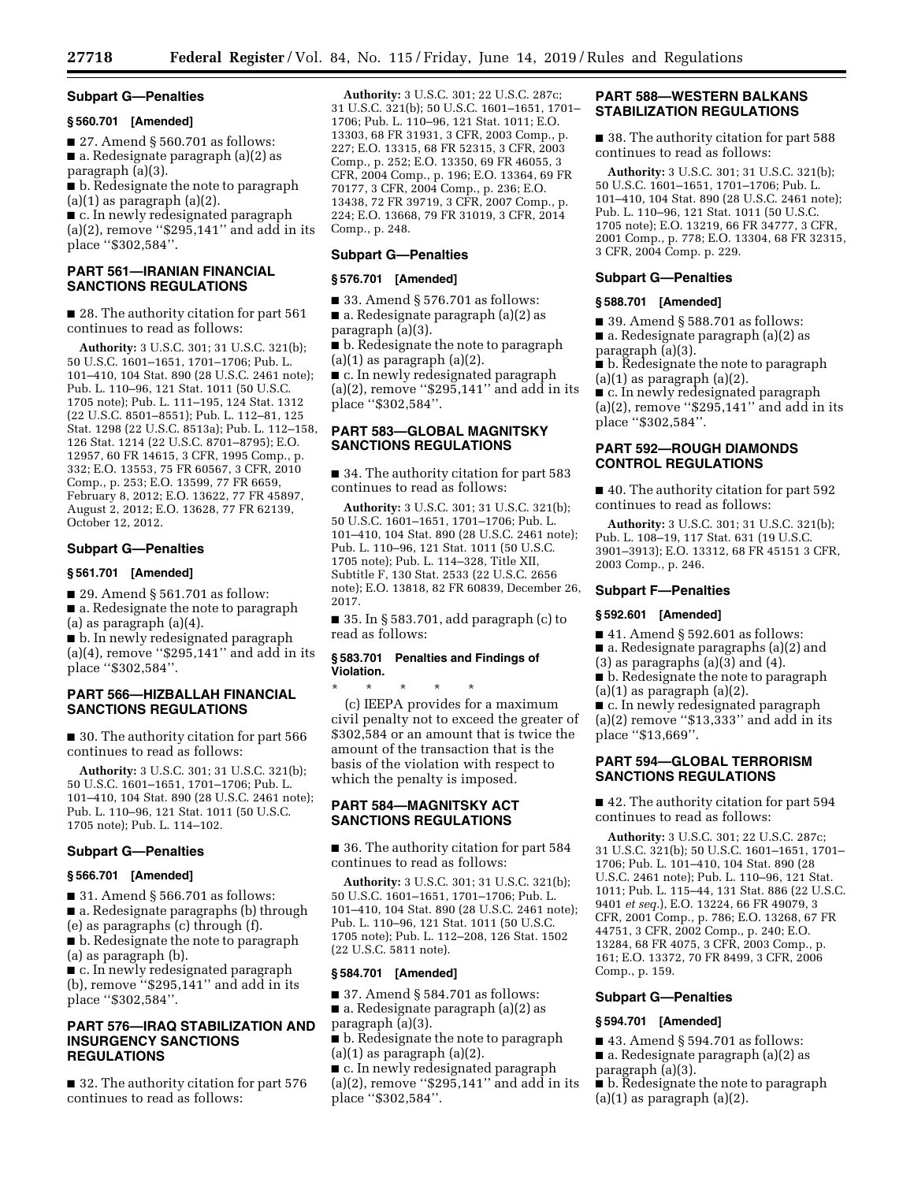#### **Subpart G—Penalties**

### **§ 560.701 [Amended]**

■ 27. Amend § 560.701 as follows: ■ a. Redesignate paragraph (a)(2) as paragraph (a)(3).

■ b. Redesignate the note to paragraph  $(a)(1)$  as paragraph  $(a)(2)$ .

■ c. In newly redesignated paragraph  $(a)(2)$ , remove "\$295,141" and add in its place ''\$302,584''.

# **PART 561—IRANIAN FINANCIAL SANCTIONS REGULATIONS**

■ 28. The authority citation for part 561 continues to read as follows:

**Authority:** 3 U.S.C. 301; 31 U.S.C. 321(b); 50 U.S.C. 1601–1651, 1701–1706; Pub. L. 101–410, 104 Stat. 890 (28 U.S.C. 2461 note); Pub. L. 110–96, 121 Stat. 1011 (50 U.S.C. 1705 note); Pub. L. 111–195, 124 Stat. 1312 (22 U.S.C. 8501–8551); Pub. L. 112–81, 125 Stat. 1298 (22 U.S.C. 8513a); Pub. L. 112–158, 126 Stat. 1214 (22 U.S.C. 8701–8795); E.O. 12957, 60 FR 14615, 3 CFR, 1995 Comp., p. 332; E.O. 13553, 75 FR 60567, 3 CFR, 2010 Comp., p. 253; E.O. 13599, 77 FR 6659, February 8, 2012; E.O. 13622, 77 FR 45897, August 2, 2012; E.O. 13628, 77 FR 62139, October 12, 2012.

# **Subpart G—Penalties**

### **§ 561.701 [Amended]**

■ 29. Amend § 561.701 as follow:

■ a. Redesignate the note to paragraph (a) as paragraph (a)(4).

■ b. In newly redesignated paragraph  $(a)(4)$ , remove "\$295,141" and add in its place ''\$302,584''.

### **PART 566—HIZBALLAH FINANCIAL SANCTIONS REGULATIONS**

■ 30. The authority citation for part 566 continues to read as follows:

**Authority:** 3 U.S.C. 301; 31 U.S.C. 321(b); 50 U.S.C. 1601–1651, 1701–1706; Pub. L. 101–410, 104 Stat. 890 (28 U.S.C. 2461 note); Pub. L. 110–96, 121 Stat. 1011 (50 U.S.C. 1705 note); Pub. L. 114–102.

# **Subpart G—Penalties**

### **§ 566.701 [Amended]**

 $\blacksquare$  31. Amend § 566.701 as follows: ■ a. Redesignate paragraphs (b) through (e) as paragraphs (c) through (f). ■ b. Redesignate the note to paragraph

(a) as paragraph (b).

■ c. In newly redesignated paragraph (b), remove ''\$295,141'' and add in its place ''\$302,584''.

# **PART 576—IRAQ STABILIZATION AND INSURGENCY SANCTIONS REGULATIONS**

■ 32. The authority citation for part 576 continues to read as follows:

**Authority:** 3 U.S.C. 301; 22 U.S.C. 287c; 31 U.S.C. 321(b); 50 U.S.C. 1601–1651, 1701– 1706; Pub. L. 110–96, 121 Stat. 1011; E.O. 13303, 68 FR 31931, 3 CFR, 2003 Comp., p. 227; E.O. 13315, 68 FR 52315, 3 CFR, 2003 Comp., p. 252; E.O. 13350, 69 FR 46055, 3 CFR, 2004 Comp., p. 196; E.O. 13364, 69 FR 70177, 3 CFR, 2004 Comp., p. 236; E.O. 13438, 72 FR 39719, 3 CFR, 2007 Comp., p. 224; E.O. 13668, 79 FR 31019, 3 CFR, 2014 Comp., p. 248.

#### **Subpart G—Penalties**

### **§ 576.701 [Amended]**

■ 33. Amend § 576.701 as follows:  $\blacksquare$  a. Redesignate paragraph (a)(2) as paragraph (a)(3).

■ b. Redesignate the note to paragraph  $(a)(1)$  as paragraph  $(a)(2)$ .

■ c. In newly redesignated paragraph  $(a)(2)$ , remove "\$295,141" and add in its

place ''\$302,584''.

# **PART 583—GLOBAL MAGNITSKY SANCTIONS REGULATIONS**

■ 34. The authority citation for part 583 continues to read as follows:

**Authority:** 3 U.S.C. 301; 31 U.S.C. 321(b); 50 U.S.C. 1601–1651, 1701–1706; Pub. L. 101–410, 104 Stat. 890 (28 U.S.C. 2461 note); Pub. L. 110–96, 121 Stat. 1011 (50 U.S.C. 1705 note); Pub. L. 114–328, Title XII, Subtitle F, 130 Stat. 2533 (22 U.S.C. 2656 note); E.O. 13818, 82 FR 60839, December 26, 2017.

 $\blacksquare$  35. In § 583.701, add paragraph (c) to read as follows:

### **§ 583.701 Penalties and Findings of Violation.**

\* \* \* \* \* (c) IEEPA provides for a maximum civil penalty not to exceed the greater of \$302,584 or an amount that is twice the amount of the transaction that is the basis of the violation with respect to which the penalty is imposed.

# **PART 584—MAGNITSKY ACT SANCTIONS REGULATIONS**

■ 36. The authority citation for part 584 continues to read as follows:

**Authority:** 3 U.S.C. 301; 31 U.S.C. 321(b); 50 U.S.C. 1601–1651, 1701–1706; Pub. L. 101–410, 104 Stat. 890 (28 U.S.C. 2461 note); Pub. L. 110–96, 121 Stat. 1011 (50 U.S.C. 1705 note); Pub. L. 112–208, 126 Stat. 1502 (22 U.S.C. 5811 note).

#### **§ 584.701 [Amended]**

■ 37. Amend § 584.701 as follows:  $\blacksquare$  a. Redesignate paragraph (a)(2) as paragraph (a)(3).

■ b. Redesignate the note to paragraph  $(a)(1)$  as paragraph  $(a)(2)$ .

■ c. In newly redesignated paragraph (a)(2), remove " $$295,141"$  and add in its place ''\$302,584''.

# **PART 588—WESTERN BALKANS STABILIZATION REGULATIONS**

■ 38. The authority citation for part 588 continues to read as follows:

**Authority:** 3 U.S.C. 301; 31 U.S.C. 321(b); 50 U.S.C. 1601–1651, 1701–1706; Pub. L. 101–410, 104 Stat. 890 (28 U.S.C. 2461 note); Pub. L. 110–96, 121 Stat. 1011 (50 U.S.C. 1705 note); E.O. 13219, 66 FR 34777, 3 CFR, 2001 Comp., p. 778; E.O. 13304, 68 FR 32315, 3 CFR, 2004 Comp. p. 229.

# **Subpart G—Penalties**

# **§ 588.701 [Amended]**

■ 39. Amend § 588.701 as follows:

■ a. Redesignate paragraph (a)(2) as

paragraph (a)(3).

■ b. Redesignate the note to paragraph  $(a)(1)$  as paragraph  $(a)(2)$ .

■ c. In newly redesignated paragraph  $(a)(2)$ , remove "\$295,141" and add in its place ''\$302,584''.

# **PART 592—ROUGH DIAMONDS CONTROL REGULATIONS**

■ 40. The authority citation for part 592 continues to read as follows:

**Authority:** 3 U.S.C. 301; 31 U.S.C. 321(b); Pub. L. 108–19, 117 Stat. 631 (19 U.S.C. 3901–3913); E.O. 13312, 68 FR 45151 3 CFR, 2003 Comp., p. 246.

### **Subpart F—Penalties**

#### **§ 592.601 [Amended]**

■ 41. Amend § 592.601 as follows:

■ a. Redesignate paragraphs (a)(2) and

 $(3)$  as paragraphs  $(a)(3)$  and  $(4)$ .

■ b. Redesignate the note to paragraph (a)(1) as paragraph (a)(2).

■ c. In newly redesignated paragraph

 $(a)(2)$  remove "\$13,333" and add in its place ''\$13,669''.

# **PART 594—GLOBAL TERRORISM SANCTIONS REGULATIONS**

■ 42. The authority citation for part 594 continues to read as follows:

**Authority:** 3 U.S.C. 301; 22 U.S.C. 287c; 31 U.S.C. 321(b); 50 U.S.C. 1601–1651, 1701– 1706; Pub. L. 101–410, 104 Stat. 890 (28 U.S.C. 2461 note); Pub. L. 110–96, 121 Stat. 1011; Pub. L. 115–44, 131 Stat. 886 (22 U.S.C. 9401 *et seq.*), E.O. 13224, 66 FR 49079, 3 CFR, 2001 Comp., p. 786; E.O. 13268, 67 FR 44751, 3 CFR, 2002 Comp., p. 240; E.O. 13284, 68 FR 4075, 3 CFR, 2003 Comp., p. 161; E.O. 13372, 70 FR 8499, 3 CFR, 2006 Comp., p. 159.

#### **Subpart G—Penalties**

#### **§ 594.701 [Amended]**

■ 43. Amend § 594.701 as follows:

■ a. Redesignate paragraph (a)(2) as

paragraph (a)(3).

■ b. Redesignate the note to paragraph  $(a)(1)$  as paragraph  $(a)(2)$ .